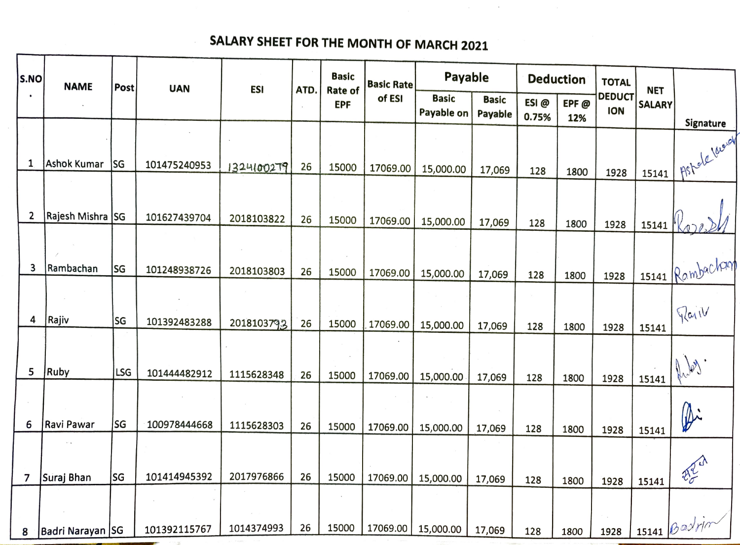## SALARY SHEET FOR THE MONTH OF MARCH 2021

 $\mathcal{L}^{\mathcal{L}}$  and  $\mathcal{L}^{\mathcal{L}}$  are the set of the set of the set of the set of  $\mathcal{L}^{\mathcal{L}}$ 

| S.NO      | <b>NAME</b>        |            | <b>UAN</b>   | <b>ESI</b> | ATD. | <b>Basic</b>          | <b>Basic Rate</b> | Payable                    |                         | <b>Deduction</b> |             | <b>TOTAL</b>                | <b>NET</b>    |                          |
|-----------|--------------------|------------|--------------|------------|------|-----------------------|-------------------|----------------------------|-------------------------|------------------|-------------|-----------------------------|---------------|--------------------------|
| $\bullet$ |                    | Post       |              |            |      | Rate of<br><b>EPF</b> | of ESI            | <b>Basic</b><br>Payable on | <b>Basic</b><br>Payable | ESI@<br>0.75%    | EPF@<br>12% | <b>DEDUCT</b><br><b>ION</b> | <b>SALARY</b> | <b>Signature</b>         |
|           |                    |            |              |            |      |                       |                   |                            |                         |                  |             |                             |               |                          |
| 1         | <b>Ashok Kumar</b> | SG         | 101475240953 | 1324100279 | 26   | 15000                 | 17069.00          | 15,000.00                  | 17,069                  | 128              | 1800        | 1928                        | 15141         | Astele level             |
| 2         | Rajesh Mishra SG   |            | 101627439704 | 2018103822 | 26   | 15000                 | 17069.00          | 15,000.00                  | 17,069                  | 128              | 1800        | 1928                        | 15141         |                          |
| 3         | Rambachan          | SG         | 101248938726 | 2018103803 | 26   | 15000                 | 17069.00          | 15,000.00                  | 17,069                  | 128              | 1800        | 1928                        |               | 1 15141 Rambacham        |
| 4         | Rajiv              | SG         | 101392483288 | 2018103793 | 26   | 15000                 | 17069.00          | 15,000.00                  | 17,069                  | 128              | 1800        | 1928                        | 15141         | Pail                     |
| 5         | <b>Ruby</b>        | <b>LSG</b> | 101444482912 | 1115628348 | 26   | 15000                 | 17069.00          | 15,000.00                  | 17,069                  | 128              | 1800        | 1928                        | 15141         |                          |
| 6         | Ravi Pawar         | lsg        | 100978444668 | 1115628303 | 26   | 15000                 | 17069.00          | 15,000.00                  | 17,069                  | 128              | 1800        | 1928                        | 15141         | Di                       |
| 7         | $\sim$ $\epsilon$  | <b>SG</b>  | 101414945392 | 2017976866 | 26   | 15000                 | 17069.00          |                            |                         |                  |             |                             |               | 223                      |
|           | Suraj Bhan         |            |              |            |      |                       |                   | 15,000.00                  | 17,069                  | 128              | 1800        | 1928                        | 15141         | $\frac{15141}{8}$ Badrin |
| 8         | Badri Narayan SG   |            | 101392115767 | 1014374993 | 26   | 15000                 | 17069.00          | 15,000.00                  | 17,069                  | 128              | 1800        | 1928                        |               |                          |